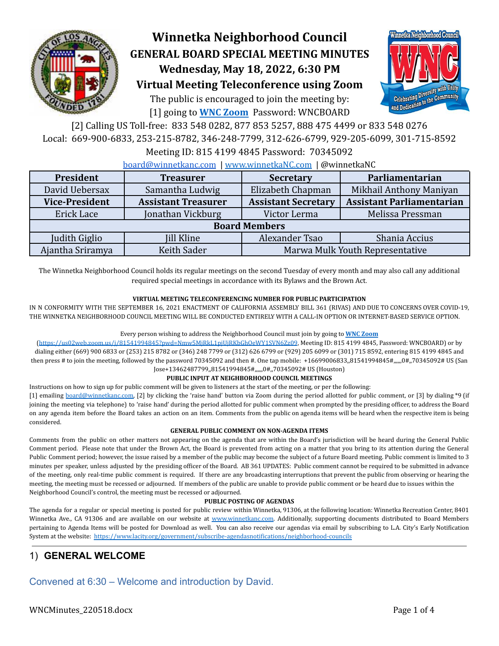

# **Winnetka Neighborhood Council GENERAL BOARD SPECIAL MEETING MINUTES Wednesday, May 18, 2022, 6:30 PM Virtual Meeting Teleconference using Zoom**

The public is encouraged to join the meeting by: [1] going to **[WNC Zoom](https://us02web.zoom.us/j/81541994845?pwd=Nmw5MjRkL1pjUjRKbGhOeWY1SVN6Zz09)** Password: WNCBOARD



[2] Calling US Toll-free: 833 548 0282, 877 853 5257, 888 475 4499 or 833 548 0276 Local: 669-900-6833, 253-215-8782, 346-248-7799, 312-626-6799, 929-205-6099, 301-715-8592

### Meeting ID: 815 4199 4845 Password: 70345092

[board@winnetkanc.com](mailto:board@winnetkanc.com) | [www.winnetkaNC.com](http://www.winnetkanc.com) | @winnetkaNC

| President             | <b>Treasurer</b>           | <b>Secretary</b>                | Parliamentarian                  |  |  |  |  |  |
|-----------------------|----------------------------|---------------------------------|----------------------------------|--|--|--|--|--|
| David Uebersax        | Samantha Ludwig            | Elizabeth Chapman               | Mikhail Anthony Maniyan          |  |  |  |  |  |
| <b>Vice-President</b> | <b>Assistant Treasurer</b> | <b>Assistant Secretary</b>      | <b>Assistant Parliamentarian</b> |  |  |  |  |  |
| Erick Lace            | Jonathan Vickburg          | Victor Lerma                    | Melissa Pressman                 |  |  |  |  |  |
| <b>Board Members</b>  |                            |                                 |                                  |  |  |  |  |  |
| Judith Giglio         | <b>Jill Kline</b>          | Alexander Tsao                  | Shania Accius                    |  |  |  |  |  |
| Ajantha Sriramya      | Keith Sader                | Marwa Mulk Youth Representative |                                  |  |  |  |  |  |

The Winnetka Neighborhood Council holds its regular meetings on the second Tuesday of every month and may also call any additional required special meetings in accordance with its Bylaws and the Brown Act.

### **VIRTUAL MEETING TELECONFERENCING NUMBER FOR PUBLIC PARTICIPATION**

IN N CONFORMITY WITH THE SEPTEMBER 16, 2021 ENACTMENT OF CALIFORNIA ASSEMBLY BILL 361 (RIVAS) AND DUE TO CONCERNS OVER COVID-19, THE WINNETKA NEIGHBORHOOD COUNCIL MEETING WILL BE CONDUCTED ENTIRELY WITH A CALL-IN OPTION OR INTERNET-BASED SERVICE OPTION.

#### Every person wishing to address the Neighborhood Council must join by going to **WNC [Zoom](https://us02web.zoom.us/j/81541994845?pwd=Nmw5MjRkL1pjUjRKbGhOeWY1SVN6Zz09)**

(<https://us02web.zoom.us/j/81541994845?pwd=Nmw5MjRkL1pjUjRKbGhOeWY1SVN6Zz09>, Meeting ID: 815 4199 4845, Password: WNCBOARD) or by dialing either (669) 900 6833 or (253) 215 8782 or (346) 248 7799 or (312) 626 6799 or (929) 205 6099 or (301) 715 8592, entering 815 4199 4845 and then press # to join the meeting, followed by the password 70345092 and then #. One tap mobile: +16699006833,,81541994845#,,,,,,0#,,70345092# US (San Jose+13462487799,,81541994845#,,,,,,0#,,70345092# US (Houston)

#### **PUBLIC INPUT AT NEIGHBORHOOD COUNCIL MEETINGS**

Instructions on how to sign up for public comment will be given to listeners at the start of the meeting, or per the following:

[1] emailing [board@winnetkanc.com,](mailto:board@winnetkanc.com) [2] by clicking the 'raise hand' button via Zoom during the period allotted for public comment, or [3] by dialing \*9 (if joining the meeting via telephone) to 'raise hand' during the period allotted for public comment when prompted by the presiding officer, to address the Board on any agenda item before the Board takes an action on an item. Comments from the public on agenda items will be heard when the respective item is being considered.

#### **GENERAL PUBLIC COMMENT ON NON-AGENDA ITEMS**

Comments from the public on other matters not appearing on the agenda that are within the Board's jurisdiction will be heard during the General Public Comment period. Please note that under the Brown Act, the Board is prevented from acting on a matter that you bring to its attention during the General Public Comment period; however, the issue raised by a member of the public may become the subject of a future Board meeting. Public comment is limited to 3 minutes per speaker, unless adjusted by the presiding officer of the Board. AB 361 UPDATES: Public comment cannot be required to be submitted in advance of the meeting, only real-time public comment is required. If there are any broadcasting interruptions that prevent the public from observing or hearing the meeting, the meeting must be recessed or adjourned. If members of the public are unable to provide public comment or be heard due to issues within the Neighborhood Council's control, the meeting must be recessed or adjourned.

#### **PUBLIC POSTING OF AGENDAS**

The agenda for a regular or special meeting is posted for public review within Winnetka, 91306, at the following location: Winnetka Recreation Center, 8401 Winnetka Ave., CA 91306 and are available on our website at www.winnetkanc.com. Additionally, supporting documents distributed to Board Members pertaining to Agenda Items will be posted for Download as well. You can also receive our agendas via email by subscribing to L.A. City's Early Notification System at the website: <https://www.lacity.org/government/subscribe-agendasnotifications/neighborhood-councils>

# 1) **GENERAL WELCOME**

Convened at 6:30 – Welcome and introduction by David.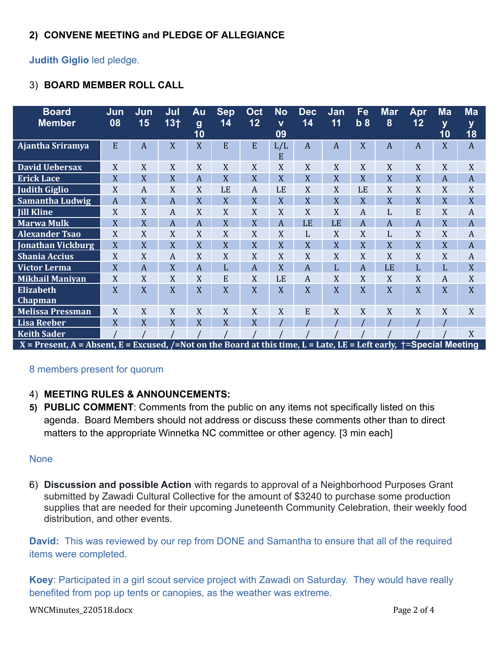# **2) CONVENE MEETING and PLEDGE OF ALLEGIANCE**

## **Judith Giglio** led pledge.

# 3) **BOARD MEMBER ROLL CALL**

| Ma<br><b>Mar</b><br>Ma<br>Fe<br><b>Dec</b><br>Jan<br><b>Apr</b>                               | <b>No</b> | Oct | <b>Sep</b> | Au                     | Jul             | Jun            | Jun            | <b>Board</b>                                                      |
|-----------------------------------------------------------------------------------------------|-----------|-----|------------|------------------------|-----------------|----------------|----------------|-------------------------------------------------------------------|
| 12<br>8<br>12<br>14<br>14<br>11<br>b <sub>8</sub><br>$\mathbf{V}$<br>y<br>y<br>18<br>10<br>09 |           |     |            | $\boldsymbol{g}$<br>10 | 13 <sub>†</sub> | 15             | 08             | <b>Member</b>                                                     |
| E<br>E<br>X<br>X<br>L/L<br>$\mathbf{A}$<br>$\overline{A}$<br>A<br>A<br>A<br>E                 |           |     |            | X                      | X               | A              | E              | Ajantha Sriramya                                                  |
| X<br>X<br>X<br>X<br>X<br>X<br>X<br>X<br>X<br>X                                                |           |     |            | X                      | X               | X              | X              | <b>David Uebersax</b>                                             |
| X<br>X<br>X<br>X<br>X<br>X<br>X<br>X<br>$\mathbf{A}$<br>$\overline{A}$                        |           |     |            | A                      | X               | X              | X              | <b>Erick Lace</b>                                                 |
| LE<br>X<br>X<br>LE<br>A<br>X<br>X<br>LE<br>X<br>X                                             |           |     |            | X                      | X               | A              | X              | <b>Judith Giglio</b>                                              |
| X<br>X<br>X<br>X<br>X<br>X<br>X<br>X<br>X<br>X                                                |           |     |            | X                      | A               | X              | $\overline{A}$ | <b>Samantha Ludwig</b>                                            |
| X<br>X<br>X<br>X<br>E<br>X<br>X<br>$\boldsymbol{A}$<br>L<br>A                                 |           |     |            | X                      | A               | X              | X              | <b>Jill Kline</b>                                                 |
| X<br>X<br>X<br>$\overline{A}$<br>LE<br>$\overline{A}$<br>A<br>$\overline{A}$<br>LE<br>A       |           |     |            | A                      | A               | X              | $\overline{X}$ | <b>Marwa Mulk</b>                                                 |
| X<br>X<br>X<br>X<br>X<br>X<br>X<br>L<br>L<br>A                                                |           |     |            | X                      | X               | X              | X              | <b>Alexander Tsao</b>                                             |
| X<br>X<br>X<br>X<br>X<br>X<br>X<br>X<br>X<br>$\overline{A}$                                   |           |     |            | X                      | X               | X              | $\overline{X}$ | <b>Jonathan Vickburg</b>                                          |
| X<br>X<br>X<br>X<br>X<br>X<br>X<br>X<br>X<br>A                                                |           |     |            | X                      | A               | X              | X              | <b>Shania Accius</b>                                              |
| X<br>X<br>LE<br>L<br>L<br>$\overline{A}$<br>$\overline{A}$<br>$\overline{A}$<br>L<br>L        |           |     |            | A                      | X               | $\overline{A}$ | X              | Victor Lerma                                                      |
| E<br>LE<br>X<br>X<br>X<br>X<br>X<br>X<br>$\boldsymbol{A}$<br>$\boldsymbol{A}$                 |           |     |            | X                      | X               | X              | X              | <b>Mikhail Maniyan</b>                                            |
| X<br>X<br>X<br>X<br>X<br>X<br>X<br>X<br>X<br>$\mathbf{X}$                                     |           |     |            | X                      | X               | X              | X              | <b>Elizabeth</b>                                                  |
|                                                                                               |           |     |            |                        |                 |                |                | Chapman                                                           |
| X<br>X<br>X<br>X<br>X<br>E<br>X<br>X<br>X<br>X                                                |           |     |            | X                      | X               | X              | X              | <b>Melissa Pressman</b>                                           |
| X<br>X                                                                                        |           |     |            | X                      | X               | X              | X              | <b>Lisa Reeber</b>                                                |
| X                                                                                             |           |     |            |                        |                 |                |                | <b>Keith Sader</b>                                                |
| ساد کا است<br>5 - 1 A A                                                                       |           |     |            |                        |                 |                | $\mathbf{r}$   | $\mathbf{v}$ $\mathbf{v}$ $\mathbf{v}$ $\mathbf{v}$<br><b>A</b> 1 |

X = Present, A = Absent, E = Excused, /=Not on the Board at this time, L = Late, LE = Left early, †=Special Meeting

### 8 members present for quorum

### 4) **MEETING RULES & ANNOUNCEMENTS:**

**5) PUBLIC COMMENT**: Comments from the public on any items not specifically listed on this agenda. Board Members should not address or discuss these comments other than to direct matters to the appropriate Winnetka NC committee or other agency. [3 min each]

### None

6) **Discussion and possible Action** with regards to approval of a Neighborhood Purposes Grant submitted by Zawadi Cultural Collective for the amount of \$3240 to purchase some production supplies that are needed for their upcoming Juneteenth Community Celebration, their weekly food distribution, and other events.

**David:** This was reviewed by our rep from DONE and Samantha to ensure that all of the required items were completed.

**Koey**: Participated in a girl scout service project with Zawadi on Saturday. They would have really benefited from pop up tents or canopies, as the weather was extreme.

WNCMinutes\_220518.docx Page 2 of 4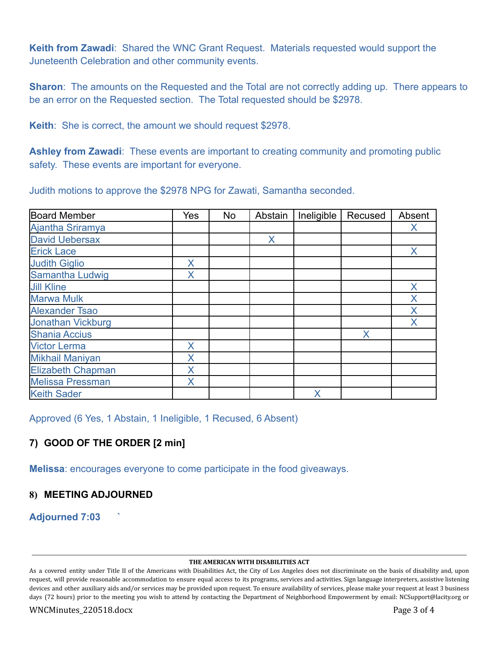**Keith from Zawadi**: Shared the WNC Grant Request. Materials requested would support the Juneteenth Celebration and other community events.

**Sharon**: The amounts on the Requested and the Total are not correctly adding up. There appears to be an error on the Requested section. The Total requested should be \$2978.

**Keith**: She is correct, the amount we should request \$2978.

**Ashley from Zawadi**: These events are important to creating community and promoting public safety. These events are important for everyone.

Judith motions to approve the \$2978 NPG for Zawati, Samantha seconded.

| <b>Board Member</b>      | Yes | No | Abstain | Ineligible | Recused | Absent |
|--------------------------|-----|----|---------|------------|---------|--------|
| Ajantha Sriramya         |     |    |         |            |         | X      |
| <b>David Uebersax</b>    |     |    | X       |            |         |        |
| <b>Erick Lace</b>        |     |    |         |            |         | X      |
| <b>Judith Giglio</b>     | X   |    |         |            |         |        |
| Samantha Ludwig          | X   |    |         |            |         |        |
| <b>Jill Kline</b>        |     |    |         |            |         | X      |
| <b>Marwa Mulk</b>        |     |    |         |            |         | X      |
| <b>Alexander Tsao</b>    |     |    |         |            |         | X      |
| <b>Jonathan Vickburg</b> |     |    |         |            |         | X      |
| <b>Shania Accius</b>     |     |    |         |            | X       |        |
| <b>Victor Lerma</b>      | X   |    |         |            |         |        |
| <b>Mikhail Maniyan</b>   | Χ   |    |         |            |         |        |
| <b>Elizabeth Chapman</b> | Χ   |    |         |            |         |        |
| <b>Melissa Pressman</b>  | X   |    |         |            |         |        |
| <b>Keith Sader</b>       |     |    |         | X          |         |        |

Approved (6 Yes, 1 Abstain, 1 Ineligible, 1 Recused, 6 Absent)

# **7) GOOD OF THE ORDER [2 min]**

**Melissa**: encourages everyone to come participate in the food giveaways.

# **8) MEETING ADJOURNED**

**Adjourned 7:03 `**

#### **THE AMERICAN WITH DISABILITIES ACT**

As a covered entity under Title II of the Americans with Disabilities Act, the City of Los Angeles does not discriminate on the basis of disability and, upon request, will provide reasonable accommodation to ensure equal access to its programs, services and activities. Sign language interpreters, assistive listening devices and other auxiliary aids and/or services may be provided upon request. To ensure availability of services, please make your request at least 3 business days (72 hours) prior to the meeting you wish to attend by contacting the Department of Neighborhood Empowerment by email: NCSupport@lacity.org or